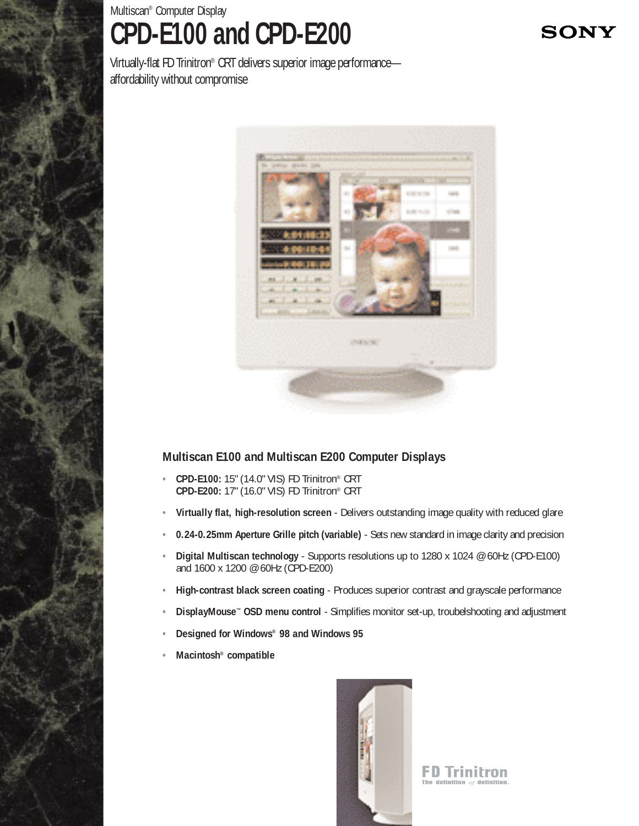## Multiscan® Computer Display **CPD-E100 and CPD-E200**

**SONY** 

Virtually-flat FD Trinitron® CRT delivers superior image performance affordability without compromise



## **Multiscan E100 and Multiscan E200 Computer Displays**

- **• CPD-E100:** 15" (14.0" VIS) FD Trinitron® CRT **CPD-E200:** 17" (16.0" VIS) FD Trinitron® CRT
- **• Virtually flat, high-resolution screen**  Delivers outstanding image quality with reduced glare
- **• 0.24-0.25mm Aperture Grille pitch (variable)**  Sets new standard in image clarity and precision
- **• Digital Multiscan technology**  Supports resolutions up to 1280 x 1024 @ 60Hz (CPD-E100) and 1600 x 1200 @ 60Hz (CPD-E200)
- **• High-contrast black screen coating**  Produces superior contrast and grayscale performance
- **• DisplayMouse™ OSD menu control**  Simplifies monitor set-up, troubelshooting and adjustment
- **• Designed for Windows® 98 and Windows 95**
- **• Macintosh® compatible**